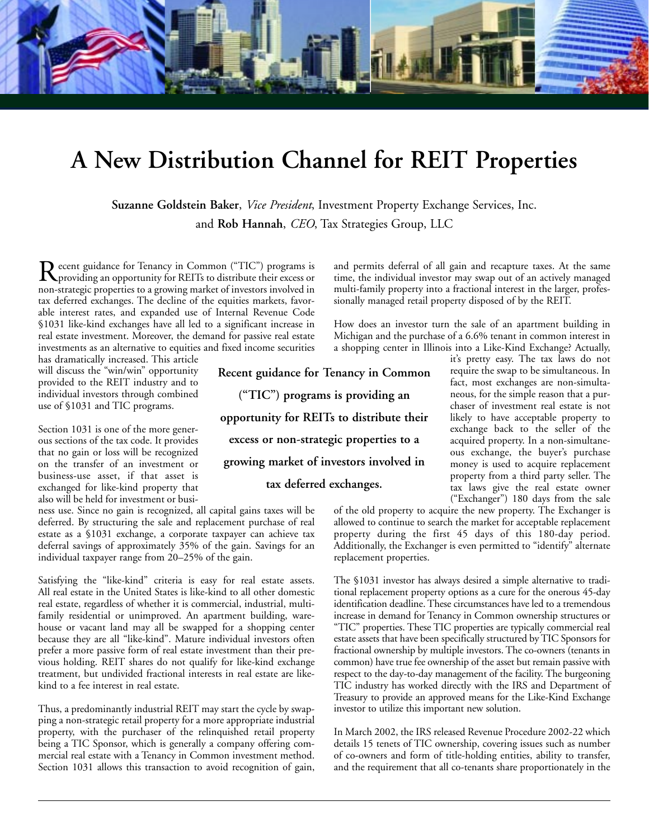

# **A New Distribution Channel for REIT Properties**

**Suzanne Goldstein Baker**, *Vice President*, Investment Property Exchange Services, Inc. and **Rob Hannah**, *CEO*, Tax Strategies Group, LLC

Recent guidance for Tenancy in Common ("TIC") programs is<br>providing an opportunity for REITs to distribute their excess or non-strategic properties to a growing market of investors involved in tax deferred exchanges. The decline of the equities markets, favorable interest rates, and expanded use of Internal Revenue Code §1031 like-kind exchanges have all led to a significant increase in real estate investment. Moreover, the demand for passive real estate investments as an alternative to equities and fixed income securities

has dramatically increased. This article will discuss the "win/win" opportunity provided to the REIT industry and to individual investors through combined use of §1031 and TIC programs.

Section 1031 is one of the more generous sections of the tax code. It provides that no gain or loss will be recognized on the transfer of an investment or business-use asset, if that asset is exchanged for like-kind property that also will be held for investment or busi-

ness use. Since no gain is recognized, all capital gains taxes will be deferred. By structuring the sale and replacement purchase of real estate as a §1031 exchange, a corporate taxpayer can achieve tax deferral savings of approximately 35% of the gain. Savings for an individual taxpayer range from 20–25% of the gain.

Satisfying the "like-kind" criteria is easy for real estate assets. All real estate in the United States is like-kind to all other domestic real estate, regardless of whether it is commercial, industrial, multifamily residential or unimproved. An apartment building, warehouse or vacant land may all be swapped for a shopping center because they are all "like-kind". Mature individual investors often prefer a more passive form of real estate investment than their previous holding. REIT shares do not qualify for like-kind exchange treatment, but undivided fractional interests in real estate are likekind to a fee interest in real estate.

Thus, a predominantly industrial REIT may start the cycle by swapping a non-strategic retail property for a more appropriate industrial property, with the purchaser of the relinquished retail property being a TIC Sponsor, which is generally a company offering commercial real estate with a Tenancy in Common investment method. Section 1031 allows this transaction to avoid recognition of gain, and permits deferral of all gain and recapture taxes. At the same time, the individual investor may swap out of an actively managed multi-family property into a fractional interest in the larger, professionally managed retail property disposed of by the REIT.

How does an investor turn the sale of an apartment building in Michigan and the purchase of a 6.6% tenant in common interest in a shopping center in Illinois into a Like-Kind Exchange? Actually,

**Recent guidance for Tenancy in Common ("TIC") programs is providing an opportunity for REITs to distribute their excess or non-strategic properties to a growing market of investors involved in tax deferred exchanges.**

it's pretty easy. The tax laws do not require the swap to be simultaneous. In fact, most exchanges are non-simultaneous, for the simple reason that a purchaser of investment real estate is not likely to have acceptable property to exchange back to the seller of the acquired property. In a non-simultaneous exchange, the buyer's purchase money is used to acquire replacement property from a third party seller. The tax laws give the real estate owner ("Exchanger") 180 days from the sale

of the old property to acquire the new property. The Exchanger is allowed to continue to search the market for acceptable replacement property during the first 45 days of this 180-day period. Additionally, the Exchanger is even permitted to "identify" alternate replacement properties.

The §1031 investor has always desired a simple alternative to traditional replacement property options as a cure for the onerous 45-day identification deadline. These circumstances have led to a tremendous increase in demand for Tenancy in Common ownership structures or "TIC" properties. These TIC properties are typically commercial real estate assets that have been specifically structured by TIC Sponsors for fractional ownership by multiple investors. The co-owners (tenants in common) have true fee ownership of the asset but remain passive with respect to the day-to-day management of the facility. The burgeoning TIC industry has worked directly with the IRS and Department of Treasury to provide an approved means for the Like-Kind Exchange investor to utilize this important new solution.

In March 2002, the IRS released Revenue Procedure 2002-22 which details 15 tenets of TIC ownership, covering issues such as number of co-owners and form of title-holding entities, ability to transfer, and the requirement that all co-tenants share proportionately in the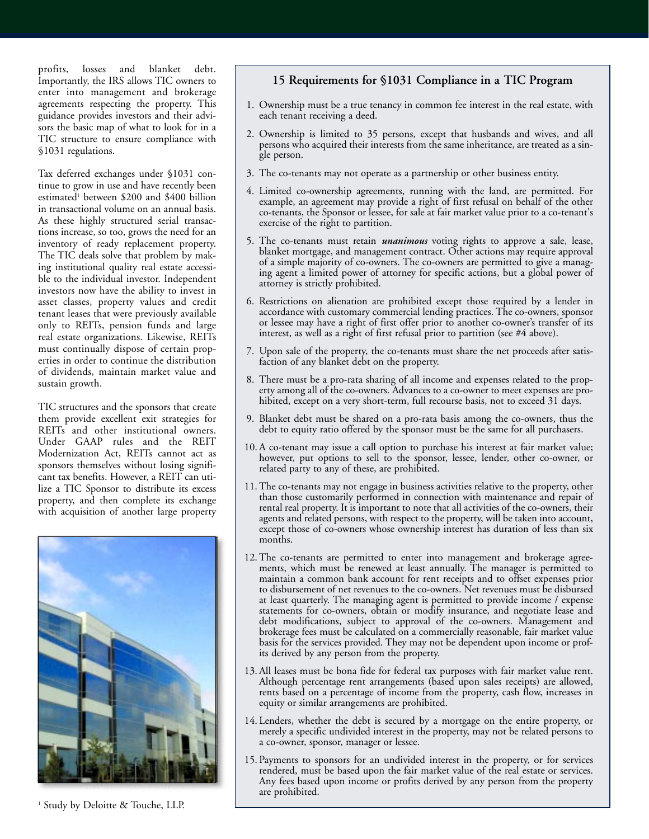profits, losses and blanket debt. Importantly, the IRS allows TIC owners to enter into management and brokerage agreements respecting the property. This guidance provides investors and their advisors the basic map of what to look for in a TIC structure to ensure compliance with §1031 regulations.

Tax deferred exchanges under §1031 continue to grow in use and have recently been estimated<sup>1</sup> between \$200 and \$400 billion in transactional volume on an annual basis. As these highly structured serial transactions increase, so too, grows the need for an inventory of ready replacement property. The TIC deals solve that problem by making institutional quality real estate accessible to the individual investor. Independent investors now have the ability to invest in asset classes, property values and credit tenant leases that were previously available only to REITs, pension funds and large real estate organizations. Likewise, REITs must continually dispose of certain properties in order to continue the distribution of dividends, maintain market value and sustain growth.

TIC structures and the sponsors that create them provide excellent exit strategies for REITs and other institutional owners. Under GAAP rules and the REIT Modernization Act, REITs cannot act as sponsors themselves without losing significant tax benefits. However, a REIT can utilize a TIC Sponsor to distribute its excess property, and then complete its exchange with acquisition of another large property



<sup>1</sup> Study by Deloitte & Touche, LLP.

#### **15 Requirements for §1031 Compliance in a TIC Program**

- 1. Ownership must be a true tenancy in common fee interest in the real estate, with each tenant receiving a deed.
- 2. Ownership is limited to 35 persons, except that husbands and wives, and all persons who acquired their interests from the same inheritance, are treated as a single person.
- 3. The co-tenants may not operate as a partnership or other business entity.
- 4. Limited co-ownership agreements, running with the land, are permitted. For example, an agreement may provide a right of first refusal on behalf of the other co-tenants, the Sponsor or lessee, for sale at fair market value prior to a co-tenant's exercise of the right to partition.
- 5. The co-tenants must retain *unanimous* voting rights to approve a sale, lease, blanket mortgage, and management contract. Other actions may require approval of a simple majority of co-owners. The co-owners are permitted to give a managing agent a limited power of attorney for specific actions, but a global power of attorney is strictly prohibited.
- 6. Restrictions on alienation are prohibited except those required by a lender in accordance with customary commercial lending practices. The co-owners, sponsor or lessee may have a right of first offer prior to another co-owner's transfer of its interest, as well as a right of first refusal prior to partition (see #4 above).
- 7. Upon sale of the property, the co-tenants must share the net proceeds after satisfaction of any blanket debt on the property.
- 8. There must be a pro-rata sharing of all income and expenses related to the property among all of the co-owners. Advances to a co-owner to meet expenses are prohibited, except on a very short-term, full recourse basis, not to exceed 31 days.
- 9. Blanket debt must be shared on a pro-rata basis among the co-owners, thus the debt to equity ratio offered by the sponsor must be the same for all purchasers.
- 10. A co-tenant may issue a call option to purchase his interest at fair market value; however, put options to sell to the sponsor, lessee, lender, other co-owner, or related party to any of these, are prohibited.
- 11. The co-tenants may not engage in business activities relative to the property, other than those customarily performed in connection with maintenance and repair of rental real property. It is important to note that all activities of the co-owners, their agents and related persons, with respect to the property, will be taken into account, except those of co-owners whose ownership interest has duration of less than six months.
- 12. The co-tenants are permitted to enter into management and brokerage agreements, which must be renewed at least annually. The manager is permitted to maintain a common bank account for rent receipts and to offset expenses prior to disbursement of net revenues to the co-owners. Net revenues must be disbursed at least quarterly. The managing agent is permitted to provide income / expense statements for co-owners, obtain or modify insurance, and negotiate lease and debt modifications, subject to approval of the co-owners. Management and brokerage fees must be calculated on a commercially reasonable, fair market value basis for the services provided. They may not be dependent upon income or profits derived by any person from the property.
- 13. All leases must be bona fide for federal tax purposes with fair market value rent. Although percentage rent arrangements (based upon sales receipts) are allowed, rents based on a percentage of income from the property, cash flow, increases in equity or similar arrangements are prohibited.
- 14. Lenders, whether the debt is secured by a mortgage on the entire property, or merely a specific undivided interest in the property, may not be related persons to a co-owner, sponsor, manager or lessee.
- 15. Payments to sponsors for an undivided interest in the property, or for services rendered, must be based upon the fair market value of the real estate or services. Any fees based upon income or profits derived by any person from the property are prohibited.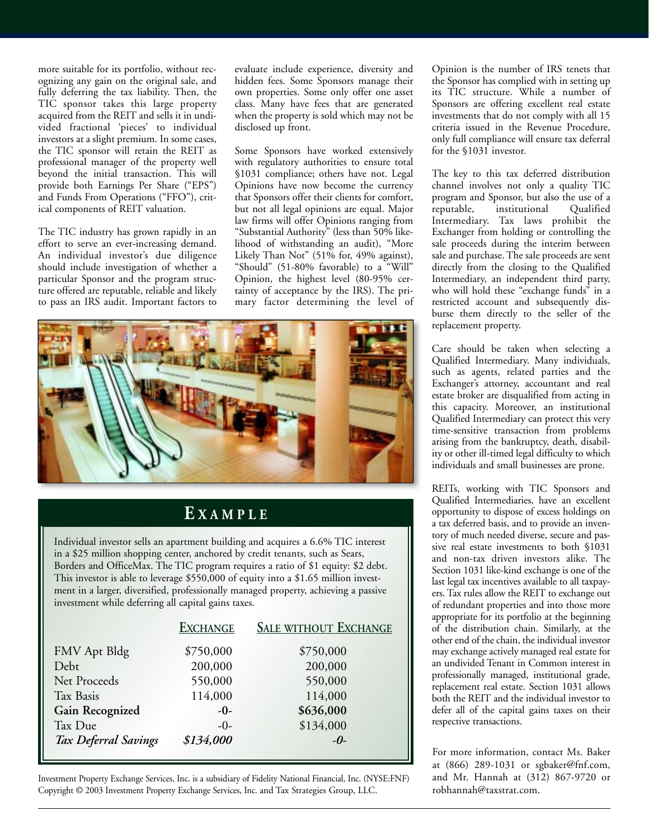more suitable for its portfolio, without recognizing any gain on the original sale, and fully deferring the tax liability. Then, the TIC sponsor takes this large property acquired from the REIT and sells it in undivided fractional 'pieces' to individual investors at a slight premium. In some cases, the TIC sponsor will retain the REIT as professional manager of the property well beyond the initial transaction. This will provide both Earnings Per Share ("EPS") and Funds From Operations ("FFO"), critical components of REIT valuation.

The TIC industry has grown rapidly in an effort to serve an ever-increasing demand. An individual investor's due diligence should include investigation of whether a particular Sponsor and the program structure offered are reputable, reliable and likely to pass an IRS audit. Important factors to

evaluate include experience, diversity and hidden fees. Some Sponsors manage their own properties. Some only offer one asset class. Many have fees that are generated when the property is sold which may not be disclosed up front.

Some Sponsors have worked extensively with regulatory authorities to ensure total §1031 compliance; others have not. Legal Opinions have now become the currency that Sponsors offer their clients for comfort, but not all legal opinions are equal. Major law firms will offer Opinions ranging from "Substantial Authority" (less than 50% likelihood of withstanding an audit), "More Likely Than Not" (51% for, 49% against), "Should" (51-80% favorable) to a "Will" Opinion, the highest level (80-95% certainty of acceptance by the IRS). The primary factor determining the level of



#### **E XAMPLE**

Individual investor sells an apartment building and acquires a 6.6% TIC interest in a \$25 million shopping center, anchored by credit tenants, such as Sears, Borders and OfficeMax. The TIC program requires a ratio of \$1 equity: \$2 debt. This investor is able to leverage \$550,000 of equity into a \$1.65 million investment in a larger, diversified, professionally managed property, achieving a passive investment while deferring all capital gains taxes.

| <b>EXCHANGE</b> | <b>SALE WITHOUT EXCHANGE</b> |
|-----------------|------------------------------|
| \$750,000       | \$750,000                    |
| 200,000         | 200,000                      |
| 550,000         | 550,000                      |
| 114,000         | 114,000                      |
| $-0-$           | \$636,000                    |
| $-0-$           | \$134,000                    |
| \$134,000       | $-0$                         |
|                 |                              |

Investment Property Exchange Services, Inc. is a subsidiary of Fidelity National Financial, Inc. (NYSE:FNF) Copyright © 2003 Investment Property Exchange Services, Inc. and Tax Strategies Group, LLC.

Opinion is the number of IRS tenets that the Sponsor has complied with in setting up its TIC structure. While a number of Sponsors are offering excellent real estate investments that do not comply with all 15 criteria issued in the Revenue Procedure, only full compliance will ensure tax deferral for the §1031 investor.

The key to this tax deferred distribution channel involves not only a quality TIC program and Sponsor, but also the use of a reputable, institutional Qualified Intermediary. Tax laws prohibit the Exchanger from holding or controlling the sale proceeds during the interim between sale and purchase. The sale proceeds are sent directly from the closing to the Qualified Intermediary, an independent third party, who will hold these "exchange funds" in a restricted account and subsequently disburse them directly to the seller of the replacement property.

Care should be taken when selecting a Qualified Intermediary. Many individuals, such as agents, related parties and the Exchanger's attorney, accountant and real estate broker are disqualified from acting in this capacity. Moreover, an institutional Qualified Intermediary can protect this very time-sensitive transaction from problems arising from the bankruptcy, death, disability or other ill-timed legal difficulty to which individuals and small businesses are prone.

REITs, working with TIC Sponsors and Qualified Intermediaries, have an excellent opportunity to dispose of excess holdings on a tax deferred basis, and to provide an inventory of much needed diverse, secure and passive real estate investments to both §1031 and non-tax driven investors alike. The Section 1031 like-kind exchange is one of the last legal tax incentives available to all taxpayers. Tax rules allow the REIT to exchange out of redundant properties and into those more appropriate for its portfolio at the beginning of the distribution chain. Similarly, at the other end of the chain, the individual investor may exchange actively managed real estate for an undivided Tenant in Common interest in professionally managed, institutional grade, replacement real estate. Section 1031 allows both the REIT and the individual investor to defer all of the capital gains taxes on their respective transactions.

For more information, contact Ms. Baker at (866) 289-1031 or sgbaker@fnf.com, and Mr. Hannah at (312) 867-9720 or robhannah@taxstrat.com.